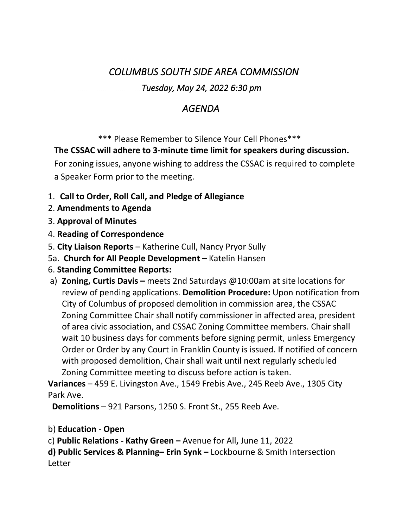## *COLUMBUS SOUTH SIDE AREA COMMISSION Tuesday, May 24, 2022 6:30 pm*

## *AGENDA*

\*\*\* Please Remember to Silence Your Cell Phones\*\*\*

**The CSSAC will adhere to 3-minute time limit for speakers during discussion.** 

For zoning issues, anyone wishing to address the CSSAC is required to complete a Speaker Form prior to the meeting.

- 1. **Call to Order, Roll Call, and Pledge of Allegiance**
- 2. **Amendments to Agenda**
- 3. **Approval of Minutes**
- 4. **Reading of Correspondence**
- 5. **City Liaison Reports** Katherine Cull, Nancy Pryor Sully
- 5a. **Church for All People Development –** Katelin Hansen
- 6. **Standing Committee Reports:**
- a) **Zoning, Curtis Davis –** meets 2nd Saturdays @10:00am at site locations for review of pending applications. **Demolition Procedure:** Upon notification from City of Columbus of proposed demolition in commission area, the CSSAC Zoning Committee Chair shall notify commissioner in affected area, president of area civic association, and CSSAC Zoning Committee members. Chair shall wait 10 business days for comments before signing permit, unless Emergency Order or Order by any Court in Franklin County is issued. If notified of concern with proposed demolition, Chair shall wait until next regularly scheduled Zoning Committee meeting to discuss before action is taken.

**Variances** – 459 E. Livingston Ave., 1549 Frebis Ave., 245 Reeb Ave., 1305 City Park Ave.

**Demolitions** – 921 Parsons, 1250 S. Front St., 255 Reeb Ave.

b) **Education** - **Open**

c) **Public Relations - Kathy Green –** Avenue for All**,** June 11, 2022

**d) Public Services & Planning– Erin Synk –** Lockbourne & Smith Intersection Letter